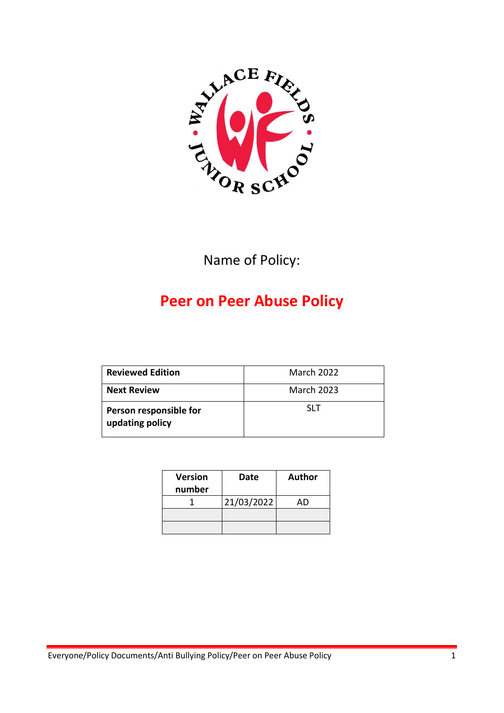

Name of Policy:

# **Peer on Peer Abuse Policy**

| <b>Reviewed Edition</b>                   | <b>March 2022</b> |
|-------------------------------------------|-------------------|
| <b>Next Review</b>                        | <b>March 2023</b> |
| Person responsible for<br>updating policy | SI T              |

| <b>Version</b><br>number | Date       | Author |
|--------------------------|------------|--------|
|                          | 21/03/2022 | AD     |
|                          |            |        |
|                          |            |        |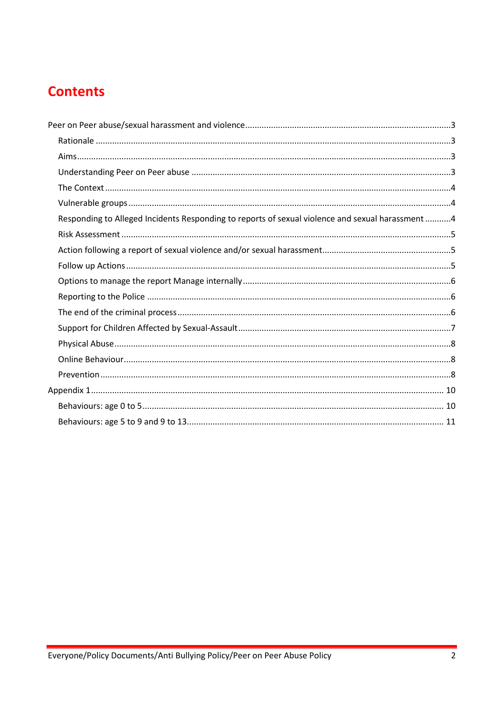# **Contents**

| Responding to Alleged Incidents Responding to reports of sexual violence and sexual harassment 4 |  |
|--------------------------------------------------------------------------------------------------|--|
|                                                                                                  |  |
|                                                                                                  |  |
|                                                                                                  |  |
|                                                                                                  |  |
|                                                                                                  |  |
|                                                                                                  |  |
|                                                                                                  |  |
|                                                                                                  |  |
|                                                                                                  |  |
|                                                                                                  |  |
|                                                                                                  |  |
|                                                                                                  |  |
|                                                                                                  |  |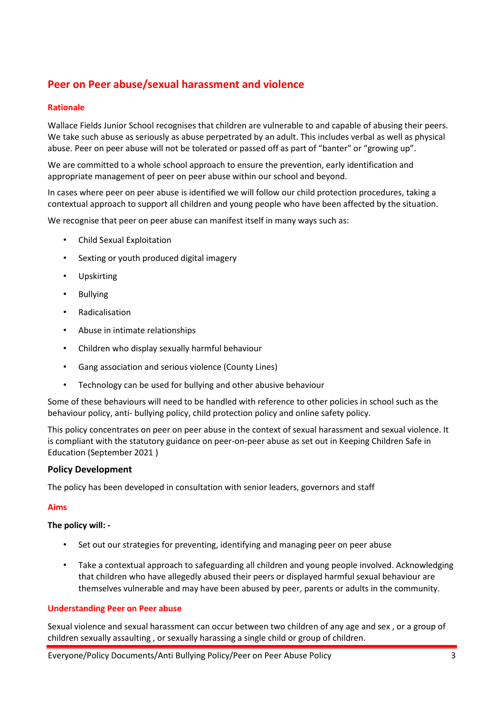# <span id="page-2-0"></span>**Peer on Peer abuse/sexual harassment and violence**

### <span id="page-2-1"></span>**Rationale**

Wallace Fields Junior School recognises that children are vulnerable to and capable of abusing their peers. We take such abuse as seriously as abuse perpetrated by an adult. This includes verbal as well as physical abuse. Peer on peer abuse will not be tolerated or passed off as part of "banter" or "growing up".

We are committed to a whole school approach to ensure the prevention, early identification and appropriate management of peer on peer abuse within our school and beyond.

In cases where peer on peer abuse is identified we will follow our child protection procedures, taking a contextual approach to support all children and young people who have been affected by the situation.

We recognise that peer on peer abuse can manifest itself in many ways such as:

- Child Sexual Exploitation
- Sexting or youth produced digital imagery
- **Upskirting**
- Bullying
- Radicalisation
- Abuse in intimate relationships
- Children who display sexually harmful behaviour
- Gang association and serious violence (County Lines)
- Technology can be used for bullying and other abusive behaviour

Some of these behaviours will need to be handled with reference to other policies in school such as the behaviour policy, anti- bullying policy, child protection policy and online safety policy.

This policy concentrates on peer on peer abuse in the context of sexual harassment and sexual violence. It is compliant with the statutory guidance on peer-on-peer abuse as set out in Keeping Children Safe in Education (September 2021 )

# **Policy Development**

The policy has been developed in consultation with senior leaders, governors and staff

#### <span id="page-2-2"></span>**Aims**

#### **The policy will: -**

- Set out our strategies for preventing, identifying and managing peer on peer abuse
- Take a contextual approach to safeguarding all children and young people involved. Acknowledging that children who have allegedly abused their peers or displayed harmful sexual behaviour are themselves vulnerable and may have been abused by peer, parents or adults in the community.

#### <span id="page-2-3"></span>**Understanding Peer on Peer abuse**

Sexual violence and sexual harassment can occur between two children of any age and sex , or a group of children sexually assaulting , or sexually harassing a single child or group of children.

Everyone/Policy Documents/Anti Bullying Policy/Peer on Peer Abuse Policy 3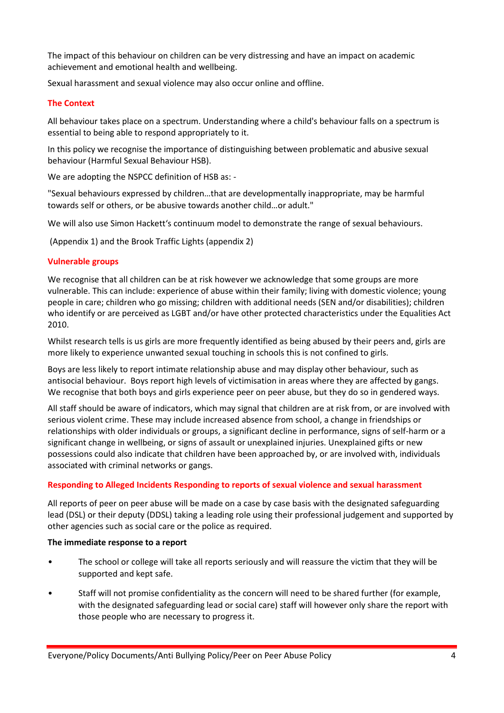The impact of this behaviour on children can be very distressing and have an impact on academic achievement and emotional health and wellbeing.

Sexual harassment and sexual violence may also occur online and offline.

### <span id="page-3-0"></span>**The Context**

All behaviour takes place on a spectrum. Understanding where a child's behaviour falls on a spectrum is essential to being able to respond appropriately to it.

In this policy we recognise the importance of distinguishing between problematic and abusive sexual behaviour (Harmful Sexual Behaviour HSB).

We are adopting the NSPCC definition of HSB as: -

"Sexual behaviours expressed by children…that are developmentally inappropriate, may be harmful towards self or others, or be abusive towards another child…or adult."

We will also use Simon Hackett's continuum model to demonstrate the range of sexual behaviours.

(Appendix 1) and the Brook Traffic Lights (appendix 2)

### <span id="page-3-1"></span>**Vulnerable groups**

We recognise that all children can be at risk however we acknowledge that some groups are more vulnerable. This can include: experience of abuse within their family; living with domestic violence; young people in care; children who go missing; children with additional needs (SEN and/or disabilities); children who identify or are perceived as LGBT and/or have other protected characteristics under the Equalities Act 2010.

Whilst research tells is us girls are more frequently identified as being abused by their peers and, girls are more likely to experience unwanted sexual touching in schools this is not confined to girls.

Boys are less likely to report intimate relationship abuse and may display other behaviour, such as antisocial behaviour. Boys report high levels of victimisation in areas where they are affected by gangs. We recognise that both boys and girls experience peer on peer abuse, but they do so in gendered ways.

All staff should be aware of indicators, which may signal that children are at risk from, or are involved with serious violent crime. These may include increased absence from school, a change in friendships or relationships with older individuals or groups, a significant decline in performance, signs of self-harm or a significant change in wellbeing, or signs of assault or unexplained injuries. Unexplained gifts or new possessions could also indicate that children have been approached by, or are involved with, individuals associated with criminal networks or gangs.

# <span id="page-3-2"></span>**Responding to Alleged Incidents Responding to reports of sexual violence and sexual harassment**

All reports of peer on peer abuse will be made on a case by case basis with the designated safeguarding lead (DSL) or their deputy (DDSL) taking a leading role using their professional judgement and supported by other agencies such as social care or the police as required.

#### **The immediate response to a report**

- The school or college will take all reports seriously and will reassure the victim that they will be supported and kept safe.
- Staff will not promise confidentiality as the concern will need to be shared further (for example, with the designated safeguarding lead or social care) staff will however only share the report with those people who are necessary to progress it.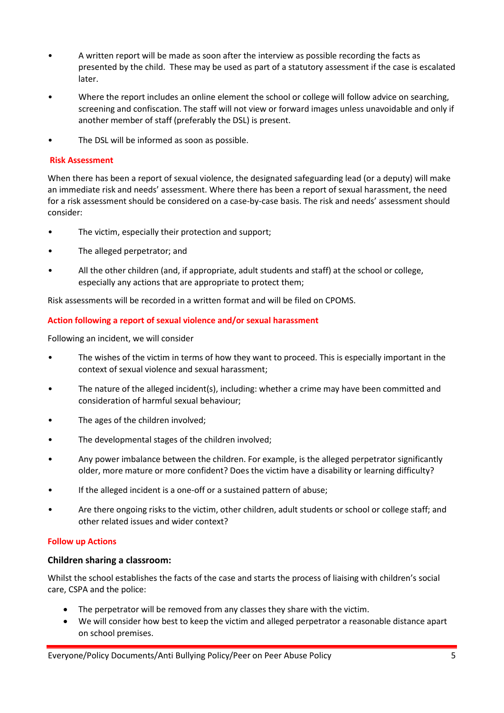- A written report will be made as soon after the interview as possible recording the facts as presented by the child. These may be used as part of a statutory assessment if the case is escalated later.
- Where the report includes an online element the school or college will follow advice on searching, screening and confiscation. The staff will not view or forward images unless unavoidable and only if another member of staff (preferably the DSL) is present.
- The DSL will be informed as soon as possible.

#### <span id="page-4-0"></span>**Risk Assessment**

When there has been a report of sexual violence, the designated safeguarding lead (or a deputy) will make an immediate risk and needs' assessment. Where there has been a report of sexual harassment, the need for a risk assessment should be considered on a case-by-case basis. The risk and needs' assessment should consider:

- The victim, especially their protection and support;
- The alleged perpetrator; and
- All the other children (and, if appropriate, adult students and staff) at the school or college, especially any actions that are appropriate to protect them;

Risk assessments will be recorded in a written format and will be filed on CPOMS.

### <span id="page-4-1"></span>**Action following a report of sexual violence and/or sexual harassment**

Following an incident, we will consider

- The wishes of the victim in terms of how they want to proceed. This is especially important in the context of sexual violence and sexual harassment;
- The nature of the alleged incident(s), including: whether a crime may have been committed and consideration of harmful sexual behaviour;
- The ages of the children involved;
- The developmental stages of the children involved;
- Any power imbalance between the children. For example, is the alleged perpetrator significantly older, more mature or more confident? Does the victim have a disability or learning difficulty?
- If the alleged incident is a one-off or a sustained pattern of abuse;
- Are there ongoing risks to the victim, other children, adult students or school or college staff; and other related issues and wider context?

#### <span id="page-4-2"></span>**Follow up Actions**

#### **Children sharing a classroom:**

Whilst the school establishes the facts of the case and starts the process of liaising with children's social care, CSPA and the police:

- The perpetrator will be removed from any classes they share with the victim.
- We will consider how best to keep the victim and alleged perpetrator a reasonable distance apart on school premises.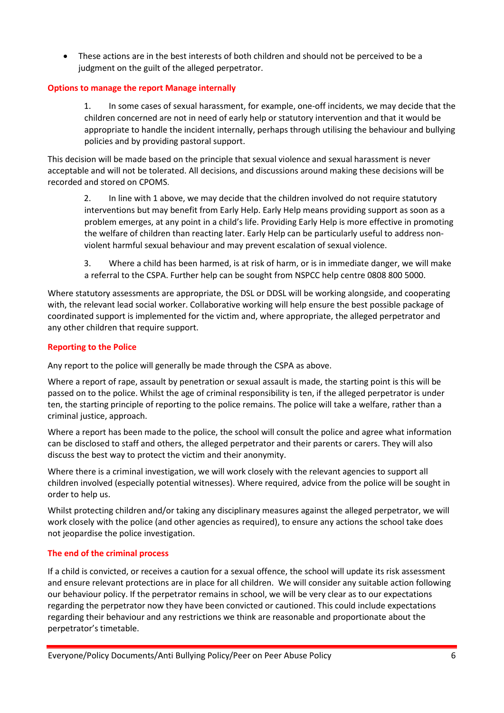These actions are in the best interests of both children and should not be perceived to be a judgment on the guilt of the alleged perpetrator.

# <span id="page-5-0"></span>**Options to manage the report Manage internally**

1. In some cases of sexual harassment, for example, one-off incidents, we may decide that the children concerned are not in need of early help or statutory intervention and that it would be appropriate to handle the incident internally, perhaps through utilising the behaviour and bullying policies and by providing pastoral support.

This decision will be made based on the principle that sexual violence and sexual harassment is never acceptable and will not be tolerated. All decisions, and discussions around making these decisions will be recorded and stored on CPOMS.

2. In line with 1 above, we may decide that the children involved do not require statutory interventions but may benefit from Early Help. Early Help means providing support as soon as a problem emerges, at any point in a child's life. Providing Early Help is more effective in promoting the welfare of children than reacting later. Early Help can be particularly useful to address nonviolent harmful sexual behaviour and may prevent escalation of sexual violence.

3. Where a child has been harmed, is at risk of harm, or is in immediate danger, we will make a referral to the CSPA. Further help can be sought from NSPCC help centre 0808 800 5000.

Where statutory assessments are appropriate, the DSL or DDSL will be working alongside, and cooperating with, the relevant lead social worker. Collaborative working will help ensure the best possible package of coordinated support is implemented for the victim and, where appropriate, the alleged perpetrator and any other children that require support.

# <span id="page-5-1"></span>**Reporting to the Police**

Any report to the police will generally be made through the CSPA as above.

Where a report of rape, assault by penetration or sexual assault is made, the starting point is this will be passed on to the police. Whilst the age of criminal responsibility is ten, if the alleged perpetrator is under ten, the starting principle of reporting to the police remains. The police will take a welfare, rather than a criminal justice, approach.

Where a report has been made to the police, the school will consult the police and agree what information can be disclosed to staff and others, the alleged perpetrator and their parents or carers. They will also discuss the best way to protect the victim and their anonymity.

Where there is a criminal investigation, we will work closely with the relevant agencies to support all children involved (especially potential witnesses). Where required, advice from the police will be sought in order to help us.

Whilst protecting children and/or taking any disciplinary measures against the alleged perpetrator, we will work closely with the police (and other agencies as required), to ensure any actions the school take does not jeopardise the police investigation.

# <span id="page-5-2"></span>**The end of the criminal process**

If a child is convicted, or receives a caution for a sexual offence, the school will update its risk assessment and ensure relevant protections are in place for all children. We will consider any suitable action following our behaviour policy. If the perpetrator remains in school, we will be very clear as to our expectations regarding the perpetrator now they have been convicted or cautioned. This could include expectations regarding their behaviour and any restrictions we think are reasonable and proportionate about the perpetrator's timetable.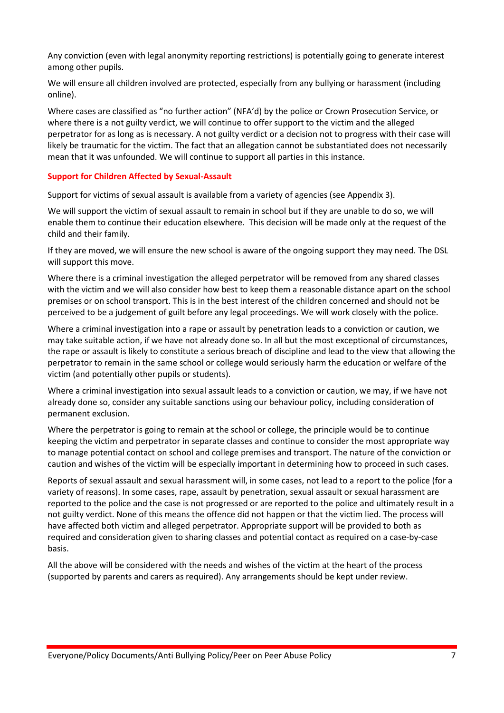Any conviction (even with legal anonymity reporting restrictions) is potentially going to generate interest among other pupils.

We will ensure all children involved are protected, especially from any bullying or harassment (including online).

Where cases are classified as "no further action" (NFA'd) by the police or Crown Prosecution Service, or where there is a not guilty verdict, we will continue to offer support to the victim and the alleged perpetrator for as long as is necessary. A not guilty verdict or a decision not to progress with their case will likely be traumatic for the victim. The fact that an allegation cannot be substantiated does not necessarily mean that it was unfounded. We will continue to support all parties in this instance.

#### <span id="page-6-0"></span>**Support for Children Affected by Sexual-Assault**

Support for victims of sexual assault is available from a variety of agencies (see Appendix 3).

We will support the victim of sexual assault to remain in school but if they are unable to do so, we will enable them to continue their education elsewhere. This decision will be made only at the request of the child and their family.

If they are moved, we will ensure the new school is aware of the ongoing support they may need. The DSL will support this move.

Where there is a criminal investigation the alleged perpetrator will be removed from any shared classes with the victim and we will also consider how best to keep them a reasonable distance apart on the school premises or on school transport. This is in the best interest of the children concerned and should not be perceived to be a judgement of guilt before any legal proceedings. We will work closely with the police.

Where a criminal investigation into a rape or assault by penetration leads to a conviction or caution, we may take suitable action, if we have not already done so. In all but the most exceptional of circumstances, the rape or assault is likely to constitute a serious breach of discipline and lead to the view that allowing the perpetrator to remain in the same school or college would seriously harm the education or welfare of the victim (and potentially other pupils or students).

Where a criminal investigation into sexual assault leads to a conviction or caution, we may, if we have not already done so, consider any suitable sanctions using our behaviour policy, including consideration of permanent exclusion.

Where the perpetrator is going to remain at the school or college, the principle would be to continue keeping the victim and perpetrator in separate classes and continue to consider the most appropriate way to manage potential contact on school and college premises and transport. The nature of the conviction or caution and wishes of the victim will be especially important in determining how to proceed in such cases.

Reports of sexual assault and sexual harassment will, in some cases, not lead to a report to the police (for a variety of reasons). In some cases, rape, assault by penetration, sexual assault or sexual harassment are reported to the police and the case is not progressed or are reported to the police and ultimately result in a not guilty verdict. None of this means the offence did not happen or that the victim lied. The process will have affected both victim and alleged perpetrator. Appropriate support will be provided to both as required and consideration given to sharing classes and potential contact as required on a case-by-case basis.

All the above will be considered with the needs and wishes of the victim at the heart of the process (supported by parents and carers as required). Any arrangements should be kept under review.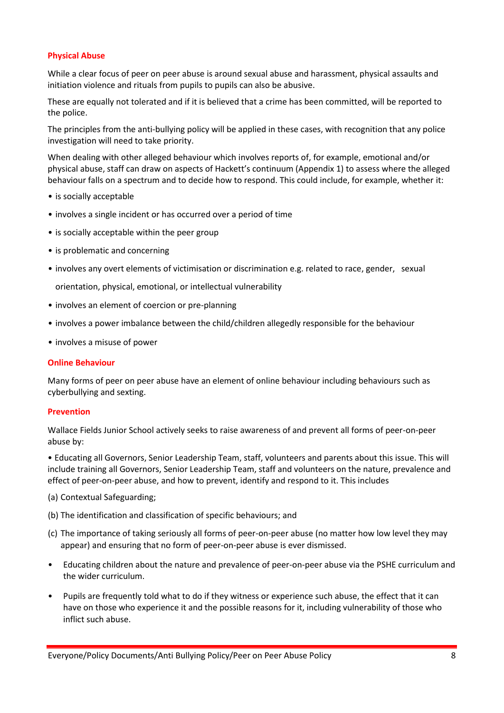### <span id="page-7-0"></span>**Physical Abuse**

While a clear focus of peer on peer abuse is around sexual abuse and harassment, physical assaults and initiation violence and rituals from pupils to pupils can also be abusive.

These are equally not tolerated and if it is believed that a crime has been committed, will be reported to the police.

The principles from the anti-bullying policy will be applied in these cases, with recognition that any police investigation will need to take priority.

When dealing with other alleged behaviour which involves reports of, for example, emotional and/or physical abuse, staff can draw on aspects of Hackett's continuum (Appendix 1) to assess where the alleged behaviour falls on a spectrum and to decide how to respond. This could include, for example, whether it:

- is socially acceptable
- involves a single incident or has occurred over a period of time
- is socially acceptable within the peer group
- is problematic and concerning
- involves any overt elements of victimisation or discrimination e.g. related to race, gender, sexual

orientation, physical, emotional, or intellectual vulnerability

- involves an element of coercion or pre-planning
- involves a power imbalance between the child/children allegedly responsible for the behaviour
- involves a misuse of power

#### <span id="page-7-1"></span>**Online Behaviour**

Many forms of peer on peer abuse have an element of online behaviour including behaviours such as cyberbullying and sexting.

#### <span id="page-7-2"></span>**Prevention**

Wallace Fields Junior School actively seeks to raise awareness of and prevent all forms of peer-on-peer abuse by:

• Educating all Governors, Senior Leadership Team, staff, volunteers and parents about this issue. This will include training all Governors, Senior Leadership Team, staff and volunteers on the nature, prevalence and effect of peer-on-peer abuse, and how to prevent, identify and respond to it. This includes

- (a) Contextual Safeguarding;
- (b) The identification and classification of specific behaviours; and
- (c) The importance of taking seriously all forms of peer-on-peer abuse (no matter how low level they may appear) and ensuring that no form of peer-on-peer abuse is ever dismissed.
- Educating children about the nature and prevalence of peer-on-peer abuse via the PSHE curriculum and the wider curriculum.
- Pupils are frequently told what to do if they witness or experience such abuse, the effect that it can have on those who experience it and the possible reasons for it, including vulnerability of those who inflict such abuse.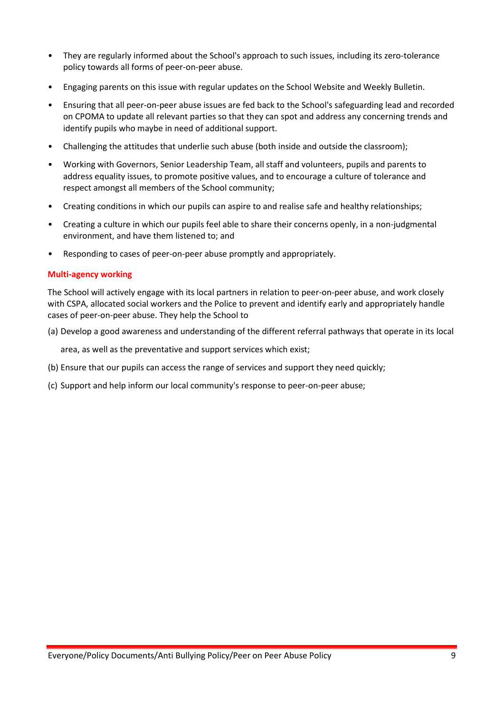- They are regularly informed about the School's approach to such issues, including its zero-tolerance policy towards all forms of peer-on-peer abuse.
- Engaging parents on this issue with regular updates on the School Website and Weekly Bulletin.
- Ensuring that all peer-on-peer abuse issues are fed back to the School's safeguarding lead and recorded on CPOMA to update all relevant parties so that they can spot and address any concerning trends and identify pupils who maybe in need of additional support.
- Challenging the attitudes that underlie such abuse (both inside and outside the classroom);
- Working with Governors, Senior Leadership Team, all staff and volunteers, pupils and parents to address equality issues, to promote positive values, and to encourage a culture of tolerance and respect amongst all members of the School community;
- Creating conditions in which our pupils can aspire to and realise safe and healthy relationships;
- Creating a culture in which our pupils feel able to share their concerns openly, in a non-judgmental environment, and have them listened to; and
- Responding to cases of peer-on-peer abuse promptly and appropriately.

### **Multi-agency working**

The School will actively engage with its local partners in relation to peer-on-peer abuse, and work closely with CSPA, allocated social workers and the Police to prevent and identify early and appropriately handle cases of peer-on-peer abuse. They help the School to

(a) Develop a good awareness and understanding of the different referral pathways that operate in its local

area, as well as the preventative and support services which exist;

- (b) Ensure that our pupils can access the range of services and support they need quickly;
- <span id="page-8-0"></span>(c) Support and help inform our local community's response to peer-on-peer abuse;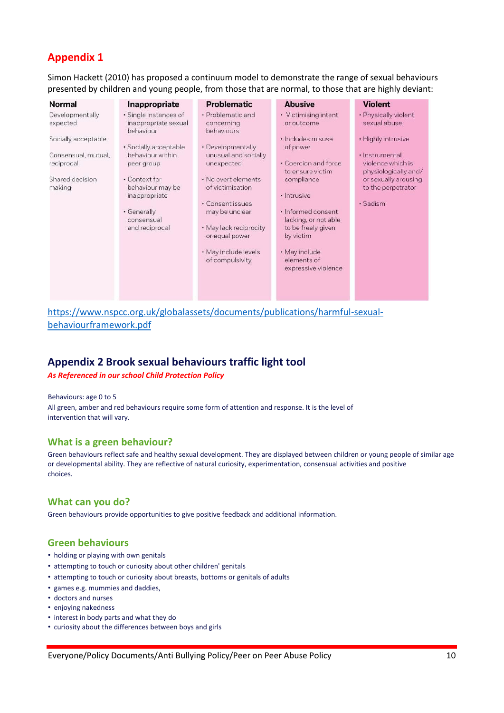# **Appendix 1**

Simon Hackett (2010) has proposed a continuum model to demonstrate the range of sexual behaviours presented by children and young people, from those that are normal, to those that are highly deviant:

| Developmentally<br>· Single instances of<br>• Problematic and<br>• Victimising intent<br>· Physically violent<br>sexual abuse<br>expected<br>inappropriate sexual<br>concerning<br>or outcome<br>behaviours<br>behaviour<br>· Highly intrusive<br>Socially acceptable<br>· Includes misuse<br>· Socially acceptable<br>· Developmentally<br>of power<br>behaviour within<br>unusual and socially<br>Consensual, mutual,<br>· Instrumental<br>• Coercion and force<br>violence which is<br>reciprocal<br>unexpected<br>peer group<br>physiologically and/<br>to ensure victim<br>Shared decision<br>• Context for<br>. No overt elements<br>or sexually arousing<br>compliance<br>to the perpetrator<br>behaviour may be<br>of victimisation<br>making<br>· Intrusive<br>inappropriate<br>• Consent issues<br>· Sadism<br>· Informed consent<br>• Generally<br>may be unclear<br>lacking, or not able<br>consensual<br>• May lack reciprocity<br>and reciprocal<br>to be freely given<br>or equal power<br>by victim<br>· May include levels<br>• May include<br>elements of<br>of compulsivity<br>expressive violence | <b>Normal</b> | Inappropriate | <b>Problematic</b> | <b>Abusive</b> | <b>Violent</b> |
|-----------------------------------------------------------------------------------------------------------------------------------------------------------------------------------------------------------------------------------------------------------------------------------------------------------------------------------------------------------------------------------------------------------------------------------------------------------------------------------------------------------------------------------------------------------------------------------------------------------------------------------------------------------------------------------------------------------------------------------------------------------------------------------------------------------------------------------------------------------------------------------------------------------------------------------------------------------------------------------------------------------------------------------------------------------------------------------------------------------------------|---------------|---------------|--------------------|----------------|----------------|
|                                                                                                                                                                                                                                                                                                                                                                                                                                                                                                                                                                                                                                                                                                                                                                                                                                                                                                                                                                                                                                                                                                                       |               |               |                    |                |                |

[https://www.nspcc.org.uk/globalassets/documents/publications/harmful-sexual](https://www.nspcc.org.uk/globalassets/documents/publications/harmful-sexual-behaviour-framework.pdf)[behaviourframework.pdf](https://www.nspcc.org.uk/globalassets/documents/publications/harmful-sexual-behaviour-framework.pdf)

# **Appendix 2 Brook sexual behaviours traffic light tool**

<span id="page-9-0"></span>*As Referenced in our school Child Protection Policy*

Behaviours: age 0 to 5 All green, amber and red behaviours require some form of attention and response. It is the level of intervention that will vary.

# **What is a green behaviour?**

Green behaviours reflect safe and healthy sexual development. They are displayed between children or young people of similar age or developmental ability. They are reflective of natural curiosity, experimentation, consensual activities and positive choices.

# **What can you do?**

Green behaviours provide opportunities to give positive feedback and additional information.

# **Green behaviours**

- holding or playing with own genitals
- attempting to touch or curiosity about other children' genitals
- attempting to touch or curiosity about breasts, bottoms or genitals of adults
- games e.g. mummies and daddies,
- doctors and nurses
- enjoying nakedness
- interest in body parts and what they do
- curiosity about the differences between boys and girls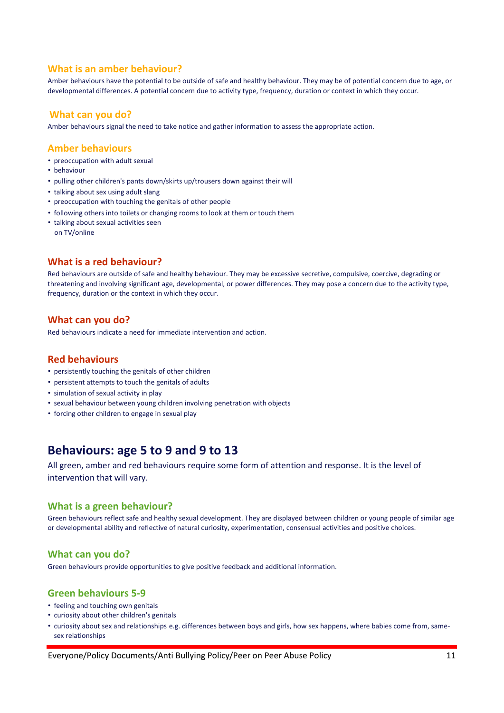# **What is an amber behaviour?**

Amber behaviours have the potential to be outside of safe and healthy behaviour. They may be of potential concern due to age, or developmental differences. A potential concern due to activity type, frequency, duration or context in which they occur.

# **What can you do?**

Amber behaviours signal the need to take notice and gather information to assess the appropriate action.

#### **Amber behaviours**

- preoccupation with adult sexual
- behaviour
- pulling other children's pants down/skirts up/trousers down against their will
- talking about sex using adult slang
- preoccupation with touching the genitals of other people
- following others into toilets or changing rooms to look at them or touch them
- talking about sexual activities seen on TV/online

# **What is a red behaviour?**

Red behaviours are outside of safe and healthy behaviour. They may be excessive secretive, compulsive, coercive, degrading or threatening and involving significant age, developmental, or power differences. They may pose a concern due to the activity type, frequency, duration or the context in which they occur.

### **What can you do?**

Red behaviours indicate a need for immediate intervention and action.

#### **Red behaviours**

- persistently touching the genitals of other children
- persistent attempts to touch the genitals of adults
- simulation of sexual activity in play
- sexual behaviour between young children involving penetration with objects
- forcing other children to engage in sexual play

# <span id="page-10-0"></span>**Behaviours: age 5 to 9 and 9 to 13**

All green, amber and red behaviours require some form of attention and response. It is the level of intervention that will vary.

#### **What is a green behaviour?**

Green behaviours reflect safe and healthy sexual development. They are displayed between children or young people of similar age or developmental ability and reflective of natural curiosity, experimentation, consensual activities and positive choices.

#### **What can you do?**

Green behaviours provide opportunities to give positive feedback and additional information.

# **Green behaviours 5-9**

- feeling and touching own genitals
- curiosity about other children's genitals
- curiosity about sex and relationships e.g. differences between boys and girls, how sex happens, where babies come from, samesex relationships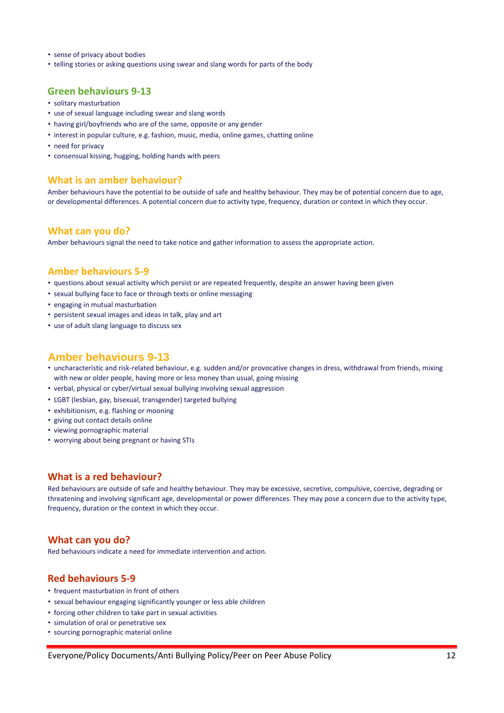- sense of privacy about bodies
- telling stories or asking questions using swear and slang words for parts of the body

#### **Green behaviours 9-13**

- solitary masturbation
- use of sexual language including swear and slang words
- having girl/boyfriends who are of the same, opposite or any gender
- interest in popular culture, e.g. fashion, music, media, online games, chatting online
- need for privacy
- consensual kissing, hugging, holding hands with peers

#### **What is an amber behaviour?**

Amber behaviours have the potential to be outside of safe and healthy behaviour. They may be of potential concern due to age, or developmental differences. A potential concern due to activity type, frequency, duration or context in which they occur.

#### **What can you do?**

Amber behaviours signal the need to take notice and gather information to assess the appropriate action.

#### **Amber behaviours 5-9**

- questions about sexual activity which persist or are repeated frequently, despite an answer having been given
- sexual bullying face to face or through texts or online messaging
- engaging in mutual masturbation
- persistent sexual images and ideas in talk, play and art
- use of adult slang language to discuss sex

#### **Amber behaviours 9-13**

- uncharacteristic and risk-related behaviour, e.g. sudden and/or provocative changes in dress, withdrawal from friends, mixing with new or older people, having more or less money than usual, going missing
- verbal, physical or cyber/virtual sexual bullying involving sexual aggression
- LGBT (lesbian, gay, bisexual, transgender) targeted bullying
- exhibitionism, e.g. flashing or mooning
- giving out contact details online
- viewing pornographic material
- worrying about being pregnant or having STIs

# **What is a red behaviour?**

Red behaviours are outside of safe and healthy behaviour. They may be excessive, secretive, compulsive, coercive, degrading or threatening and involving significant age, developmental or power differences. They may pose a concern due to the activity type, frequency, duration or the context in which they occur.

#### **What can you do?**

Red behaviours indicate a need for immediate intervention and action.

### **Red behaviours 5-9**

- frequent masturbation in front of others
- sexual behaviour engaging significantly younger or less able children
- forcing other children to take part in sexual activities
- simulation of oral or penetrative sex
- sourcing pornographic material online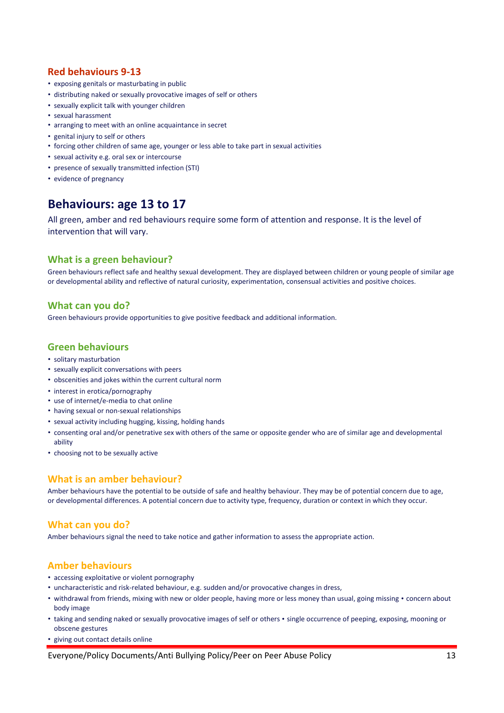# **Red behaviours 9-13**

- exposing genitals or masturbating in public
- distributing naked or sexually provocative images of self or others
- sexually explicit talk with younger children
- sexual harassment
- arranging to meet with an online acquaintance in secret
- genital injury to self or others
- forcing other children of same age, younger or less able to take part in sexual activities
- sexual activity e.g. oral sex or intercourse
- presence of sexually transmitted infection (STI)
- evidence of pregnancy

# **Behaviours: age 13 to 17**

All green, amber and red behaviours require some form of attention and response. It is the level of intervention that will vary.

# **What is a green behaviour?**

Green behaviours reflect safe and healthy sexual development. They are displayed between children or young people of similar age or developmental ability and reflective of natural curiosity, experimentation, consensual activities and positive choices.

### **What can you do?**

Green behaviours provide opportunities to give positive feedback and additional information.

# **Green behaviours**

- solitary masturbation
- sexually explicit conversations with peers
- obscenities and jokes within the current cultural norm
- interest in erotica/pornography
- use of internet/e-media to chat online
- having sexual or non-sexual relationships
- sexual activity including hugging, kissing, holding hands
- consenting oral and/or penetrative sex with others of the same or opposite gender who are of similar age and developmental ability
- choosing not to be sexually active

# **What is an amber behaviour?**

Amber behaviours have the potential to be outside of safe and healthy behaviour. They may be of potential concern due to age, or developmental differences. A potential concern due to activity type, frequency, duration or context in which they occur.

#### **What can you do?**

Amber behaviours signal the need to take notice and gather information to assess the appropriate action.

#### **Amber behaviours**

- accessing exploitative or violent pornography
- uncharacteristic and risk-related behaviour, e.g. sudden and/or provocative changes in dress,
- withdrawal from friends, mixing with new or older people, having more or less money than usual, going missing concern about body image
- taking and sending naked or sexually provocative images of self or others single occurrence of peeping, exposing, mooning or obscene gestures
- giving out contact details online